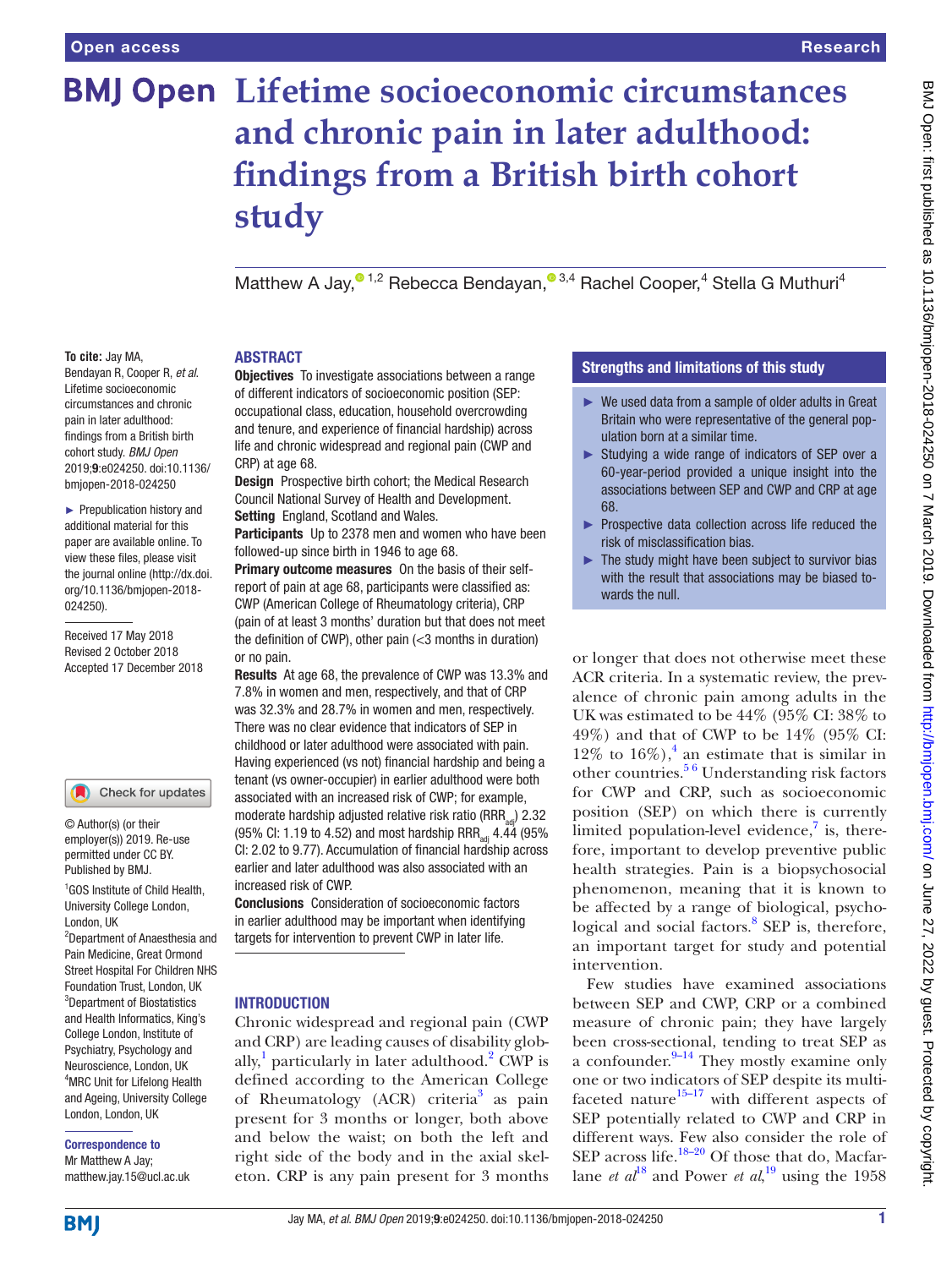# **BMJ Open Lifetime socioeconomic circumstances and chronic pain in later adulthood: findings from a British birth cohort study**

Matthew A Jay[,](http://orcid.org/0000-0003-1461-556X)<sup>® 1,2</sup> Rebecca Bendayan,<sup>® 3,4</sup> Rachel Cooper,<sup>4</sup> Stella G Muthuri<sup>4</sup>

#### **To cite:** Jay MA,

Bendayan R, Cooper R, *et al*. Lifetime socioeconomic circumstances and chronic pain in later adulthood: findings from a British birth cohort study. *BMJ Open* 2019;9:e024250. doi:10.1136/ bmjopen-2018-024250

► Prepublication history and additional material for this paper are available online. To view these files, please visit the journal online [\(http://dx.doi.](http://dx.doi.org/10.1136/bmjopen-2018-024250) [org/10.1136/bmjopen-2018-](http://dx.doi.org/10.1136/bmjopen-2018-024250) [024250\)](http://dx.doi.org/10.1136/bmjopen-2018-024250).

Received 17 May 2018 Revised 2 October 2018 Accepted 17 December 2018



#### Check for updates

© Author(s) (or their employer(s)) 2019. Re-use permitted under CC BY. Published by BMJ.

1 GOS Institute of Child Health, University College London, London, UK

2 Department of Anaesthesia and Pain Medicine, Great Ormond Street Hospital For Children NHS Foundation Trust, London, UK 3 Department of Biostatistics and Health Informatics, King's College London, Institute of Psychiatry, Psychology and Neuroscience, London, UK 4 MRC Unit for Lifelong Health and Ageing, University College London, London, UK

Correspondence to

Mr Matthew A Jay; matthew.jay.15@ucl.ac.uk

#### **ABSTRACT**

**Objectives** To investigate associations between a range of different indicators of socioeconomic position (SEP: occupational class, education, household overcrowding and tenure, and experience of financial hardship) across life and chronic widespread and regional pain (CWP and CRP) at age 68.

Design Prospective birth cohort; the Medical Research Council National Survey of Health and Development. Setting England, Scotland and Wales.

Participants Up to 2378 men and women who have been

followed-up since birth in 1946 to age 68.

Primary outcome measures On the basis of their selfreport of pain at age 68, participants were classified as: CWP (American College of Rheumatology criteria), CRP (pain of at least 3 months' duration but that does not meet the definition of CWP), other pain  $\left( < \frac{3}{2} \right)$  months in duration) or no pain.

Results At age 68, the prevalence of CWP was 13.3% and 7.8% in women and men, respectively, and that of CRP was 32.3% and 28.7% in women and men, respectively. There was no clear evidence that indicators of SEP in childhood or later adulthood were associated with pain. Having experienced (vs not) financial hardship and being a tenant (vs owner-occupier) in earlier adulthood were both associated with an increased risk of CWP; for example, moderate hardship adjusted relative risk ratio (RRR<sub>ad</sub>) 2.32 (95% CI: 1.19 to 4.52) and most hardship RRR $_{at}$  4.44 (95%) CI: 2.02 to 9.77). Accumulation of financial hardship across earlier and later adulthood was also associated with an increased risk of CWP.

Conclusions Consideration of socioeconomic factors in earlier adulthood may be important when identifying targets for intervention to prevent CWP in later life.

#### **INTRODUCTION**

Chronic widespread and regional pain (CWP and CRP) are leading causes of disability glob-ally,<sup>1</sup> particularly in later adulthood.<sup>[2](#page-8-1)</sup> CWP is defined according to the American College of Rheumatology (ACR) criteria<sup>[3](#page-8-2)</sup> as pain present for 3 months or longer, both above and below the waist; on both the left and right side of the body and in the axial skeleton. CRP is any pain present for 3 months

# Strengths and limitations of this study

- ► We used data from a sample of older adults in Great Britain who were representative of the general population born at a similar time.
- ► Studying a wide range of indicators of SEP over a 60-year-period provided a unique insight into the associations between SEP and CWP and CRP at age 68.
- ► Prospective data collection across life reduced the risk of misclassification bias.
- $\blacktriangleright$  The study might have been subject to survivor bias with the result that associations may be biased towards the null.

or longer that does not otherwise meet these ACR criteria. In a systematic review, the prevalence of chronic pain among adults in the UK was estimated to be 44% (95% CI: 38% to 49%) and that of CWP to be 14% (95% CI: 12% to  $16\%)$ ,<sup>4</sup> an estimate that is similar in other countries. $56$  Understanding risk factors for CWP and CRP, such as socioeconomic position (SEP) on which there is currently limited population-level evidence, $\frac{7}{7}$  $\frac{7}{7}$  $\frac{7}{7}$  is, therefore, important to develop preventive public health strategies. Pain is a biopsychosocial phenomenon, meaning that it is known to be affected by a range of biological, psychological and social factors.<sup>8</sup> SEP is, therefore, an important target for study and potential intervention.

Few studies have examined associations between SEP and CWP, CRP or a combined measure of chronic pain; they have largely been cross-sectional, tending to treat SEP as a confounder. $9-14$  They mostly examine only one or two indicators of SEP despite its multifaceted nature $15-17$  with different aspects of SEP potentially related to CWP and CRP in different ways. Few also consider the role of SEP across life. $^{18-20}$  Of those that do, Macfarlane *et al*<sup>18</sup> and Power *et al*,<sup>19</sup> using the 1958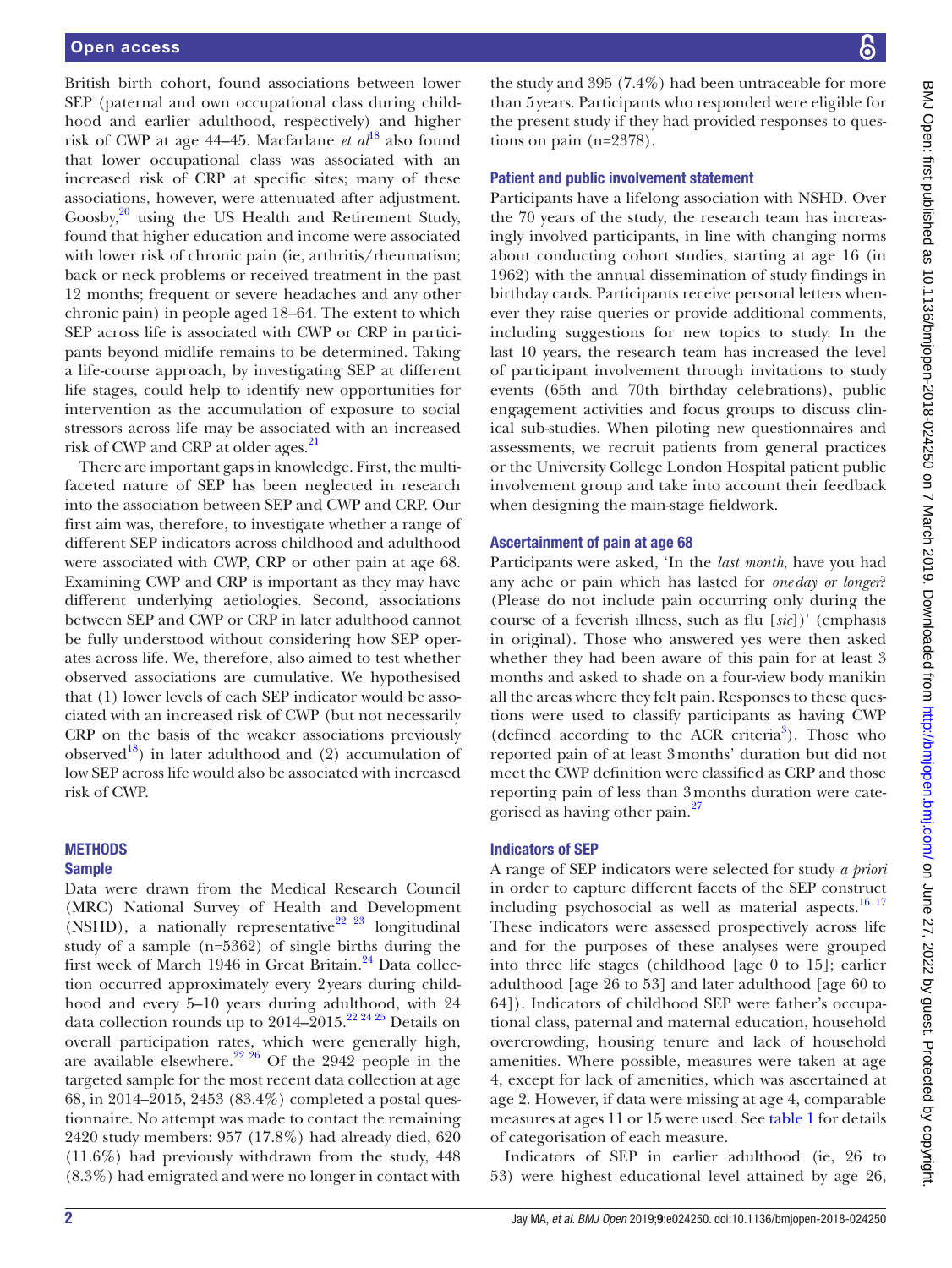British birth cohort, found associations between lower SEP (paternal and own occupational class during childhood and earlier adulthood, respectively) and higher risk of CWP at age 44–45. Macfarlane *et al*<sup>18</sup> also found that lower occupational class was associated with an increased risk of CRP at specific sites; many of these associations, however, were attenuated after adjustment.  $Goosby<sub>1</sub><sup>20</sup>$  $Goosby<sub>1</sub><sup>20</sup>$  $Goosby<sub>1</sub><sup>20</sup>$  using the US Health and Retirement Study, found that higher education and income were associated with lower risk of chronic pain (ie, arthritis/rheumatism; back or neck problems or received treatment in the past 12 months; frequent or severe headaches and any other chronic pain) in people aged 18–64. The extent to which SEP across life is associated with CWP or CRP in participants beyond midlife remains to be determined. Taking a life-course approach, by investigating SEP at different life stages, could help to identify new opportunities for intervention as the accumulation of exposure to social stressors across life may be associated with an increased risk of CWP and CRP at older ages.<sup>[21](#page-8-12)</sup>

There are important gaps in knowledge. First, the multifaceted nature of SEP has been neglected in research into the association between SEP and CWP and CRP. Our first aim was, therefore, to investigate whether a range of different SEP indicators across childhood and adulthood were associated with CWP, CRP or other pain at age 68. Examining CWP and CRP is important as they may have different underlying aetiologies. Second, associations between SEP and CWP or CRP in later adulthood cannot be fully understood without considering how SEP operates across life. We, therefore, also aimed to test whether observed associations are cumulative. We hypothesised that (1) lower levels of each SEP indicator would be associated with an increased risk of CWP (but not necessarily CRP on the basis of the weaker associations previously observed<sup>[18](#page-8-9)</sup>) in later adulthood and (2) accumulation of low SEP across life would also be associated with increased risk of CWP.

#### **METHODS** Sample

Data were drawn from the Medical Research Council (MRC) National Survey of Health and Development (NSHD), a nationally representative<sup>22</sup> <sup>23</sup> longitudinal study of a sample (n=5362) of single births during the first week of March 1946 in Great Britain.<sup>24</sup> Data collection occurred approximately every 2years during childhood and every 5–10 years during adulthood, with 24 data collection rounds up to  $2014-2015$ .<sup>[22 24 25](#page-8-13)</sup> Details on overall participation rates, which were generally high, are available elsewhere.<sup>22 26</sup> Of the 2942 people in the targeted sample for the most recent data collection at age 68, in 2014–2015, 2453 (83.4%) completed a postal questionnaire. No attempt was made to contact the remaining 2420 study members: 957 (17.8%) had already died, 620 (11.6%) had previously withdrawn from the study, 448 (8.3%) had emigrated and were no longer in contact with the study and 395 (7.4%) had been untraceable for more than 5years. Participants who responded were eligible for the present study if they had provided responses to questions on pain (n=2378).

#### Patient and public involvement statement

Participants have a lifelong association with NSHD. Over the 70 years of the study, the research team has increasingly involved participants, in line with changing norms about conducting cohort studies, starting at age 16 (in 1962) with the annual dissemination of study findings in birthday cards. Participants receive personal letters whenever they raise queries or provide additional comments, including suggestions for new topics to study. In the last 10 years, the research team has increased the level of participant involvement through invitations to study events (65th and 70th birthday celebrations), public engagement activities and focus groups to discuss clinical sub-studies. When piloting new questionnaires and assessments, we recruit patients from general practices or the University College London Hospital patient public involvement group and take into account their feedback when designing the main-stage fieldwork.

#### Ascertainment of pain at age 68

Participants were asked, 'In the *last month*, have you had any ache or pain which has lasted for *one day or longer*? (Please do not include pain occurring only during the course of a feverish illness, such as flu [*sic*])' (emphasis in original). Those who answered yes were then asked whether they had been aware of this pain for at least 3 months and asked to shade on a four-view body manikin all the areas where they felt pain. Responses to these questions were used to classify participants as having CWP (defined according to the ACR criteria<sup>[3](#page-8-2)</sup>). Those who reported pain of at least 3months' duration but did not meet the CWP definition were classified as CRP and those reporting pain of less than 3months duration were categorised as having other pain.<sup>27</sup>

#### Indicators of SEP

A range of SEP indicators were selected for study *a priori* in order to capture different facets of the SEP construct including psychosocial as well as material aspects. $16 17$ These indicators were assessed prospectively across life and for the purposes of these analyses were grouped into three life stages (childhood [age 0 to 15]; earlier adulthood [age 26 to 53] and later adulthood [age 60 to 64]). Indicators of childhood SEP were father's occupational class, paternal and maternal education, household overcrowding, housing tenure and lack of household amenities. Where possible, measures were taken at age 4, except for lack of amenities, which was ascertained at age 2. However, if data were missing at age 4, comparable measures at ages 11 or 15 were used. See [table](#page-2-0) 1 for details of categorisation of each measure.

Indicators of SEP in earlier adulthood (ie, 26 to 53) were highest educational level attained by age 26,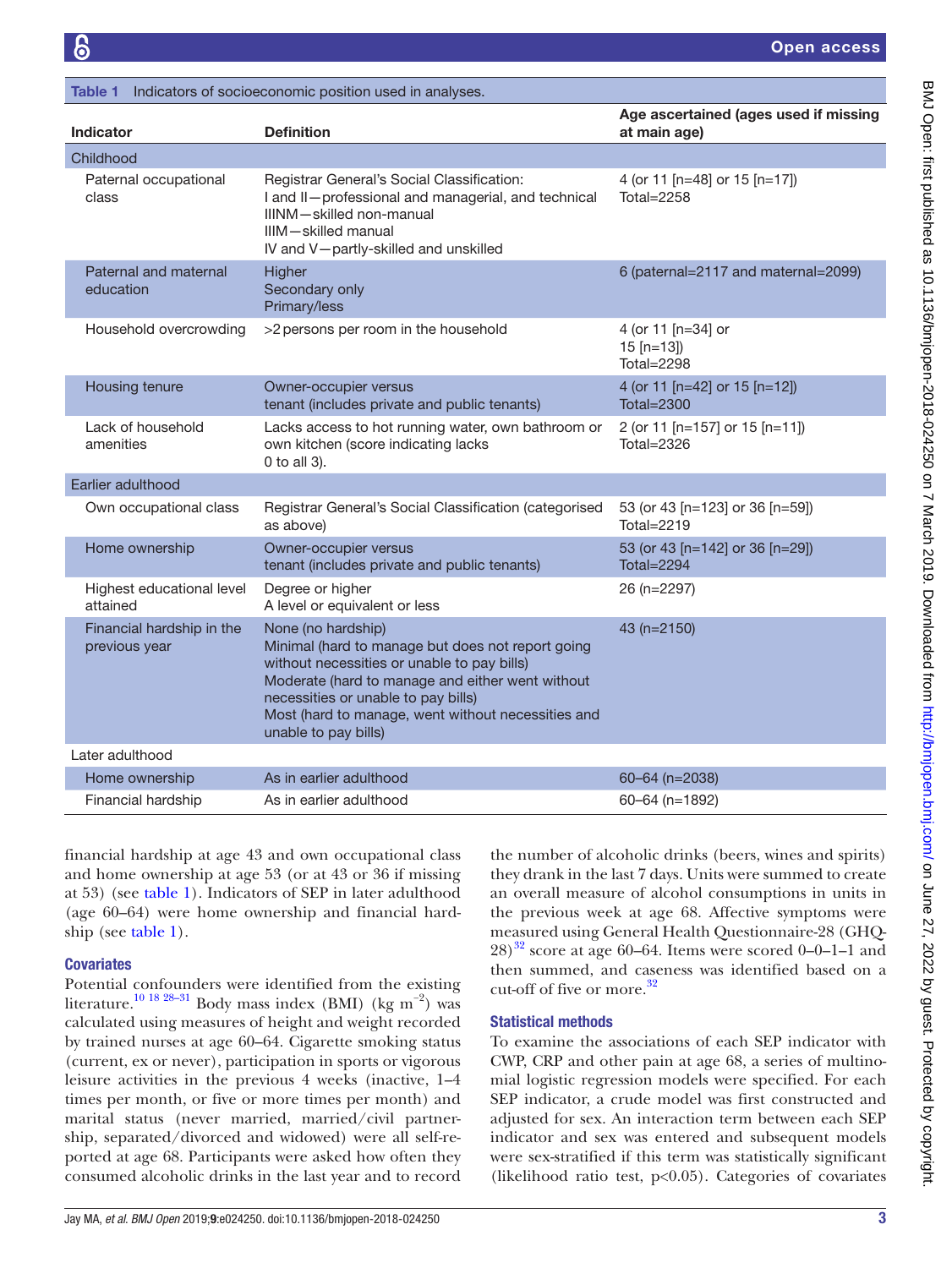<span id="page-2-0"></span>

| Table 1                                    | Indicators of socioeconomic position used in analyses.                                                                                                                                                                                                                                          |                                                       |
|--------------------------------------------|-------------------------------------------------------------------------------------------------------------------------------------------------------------------------------------------------------------------------------------------------------------------------------------------------|-------------------------------------------------------|
| <b>Indicator</b>                           | <b>Definition</b>                                                                                                                                                                                                                                                                               | Age ascertained (ages used if missing<br>at main age) |
| Childhood                                  |                                                                                                                                                                                                                                                                                                 |                                                       |
| Paternal occupational<br>class             | Registrar General's Social Classification:<br>I and II-professional and managerial, and technical<br>IIINM-skilled non-manual<br>IIIM-skilled manual<br>IV and V-partly-skilled and unskilled                                                                                                   | 4 (or 11 [n=48] or 15 [n=17])<br>Total= $2258$        |
| Paternal and maternal<br>education         | Higher<br>Secondary only<br>Primary/less                                                                                                                                                                                                                                                        | 6 (paternal=2117 and maternal=2099)                   |
| Household overcrowding                     | >2 persons per room in the household                                                                                                                                                                                                                                                            | 4 (or 11 [n=34] or<br>$15$ [n=13])<br>Total=2298      |
| Housing tenure                             | Owner-occupier versus<br>tenant (includes private and public tenants)                                                                                                                                                                                                                           | 4 (or 11 [n=42] or 15 [n=12])<br>Total=2300           |
| Lack of household<br>amenities             | Lacks access to hot running water, own bathroom or<br>own kitchen (score indicating lacks<br>0 to all 3).                                                                                                                                                                                       | 2 (or 11 [n=157] or 15 [n=11])<br><b>Total=2326</b>   |
| Earlier adulthood                          |                                                                                                                                                                                                                                                                                                 |                                                       |
| Own occupational class                     | Registrar General's Social Classification (categorised<br>as above)                                                                                                                                                                                                                             | 53 (or 43 [n=123] or 36 [n=59])<br>Total=2219         |
| Home ownership                             | Owner-occupier versus<br>tenant (includes private and public tenants)                                                                                                                                                                                                                           | 53 (or 43 [n=142] or 36 [n=29])<br><b>Total=2294</b>  |
| Highest educational level<br>attained      | Degree or higher<br>A level or equivalent or less                                                                                                                                                                                                                                               | 26 (n=2297)                                           |
| Financial hardship in the<br>previous year | None (no hardship)<br>Minimal (hard to manage but does not report going<br>without necessities or unable to pay bills)<br>Moderate (hard to manage and either went without<br>necessities or unable to pay bills)<br>Most (hard to manage, went without necessities and<br>unable to pay bills) | 43 (n=2150)                                           |
| Later adulthood                            |                                                                                                                                                                                                                                                                                                 |                                                       |
| Home ownership                             | As in earlier adulthood                                                                                                                                                                                                                                                                         | 60-64 (n=2038)                                        |
| Financial hardship                         | As in earlier adulthood                                                                                                                                                                                                                                                                         | $60 - 64$ (n=1892)                                    |

financial hardship at age 43 and own occupational class and home ownership at age 53 (or at 43 or 36 if missing at 53) (see [table](#page-2-0) 1). Indicators of SEP in later adulthood (age 60–64) were home ownership and financial hardship (see [table](#page-2-0) 1).

# **Covariates**

Potential confounders were identified from the existing literature.<sup>[10 18 28–31](#page-8-16)</sup> Body mass index (BMI) (kg m<sup>-2</sup>) was calculated using measures of height and weight recorded by trained nurses at age 60–64. Cigarette smoking status (current, ex or never), participation in sports or vigorous leisure activities in the previous 4 weeks (inactive, 1–4 times per month, or five or more times per month) and marital status (never married, married/civil partnership, separated/divorced and widowed) were all self-reported at age 68. Participants were asked how often they consumed alcoholic drinks in the last year and to record

the number of alcoholic drinks (beers, wines and spirits) they drank in the last 7 days. Units were summed to create an overall measure of alcohol consumptions in units in the previous week at age 68. Affective symptoms were measured using General Health Questionnaire-28 (GHQ- $28)^{32}$  score at age 60–64. Items were scored 0–0–1–1 and then summed, and caseness was identified based on a cut-off of five or more.<sup>[32](#page-9-1)</sup>

# Statistical methods

To examine the associations of each SEP indicator with CWP, CRP and other pain at age 68, a series of multinomial logistic regression models were specified. For each SEP indicator, a crude model was first constructed and adjusted for sex. An interaction term between each SEP indicator and sex was entered and subsequent models were sex-stratified if this term was statistically significant (likelihood ratio test,  $p<0.05$ ). Categories of covariates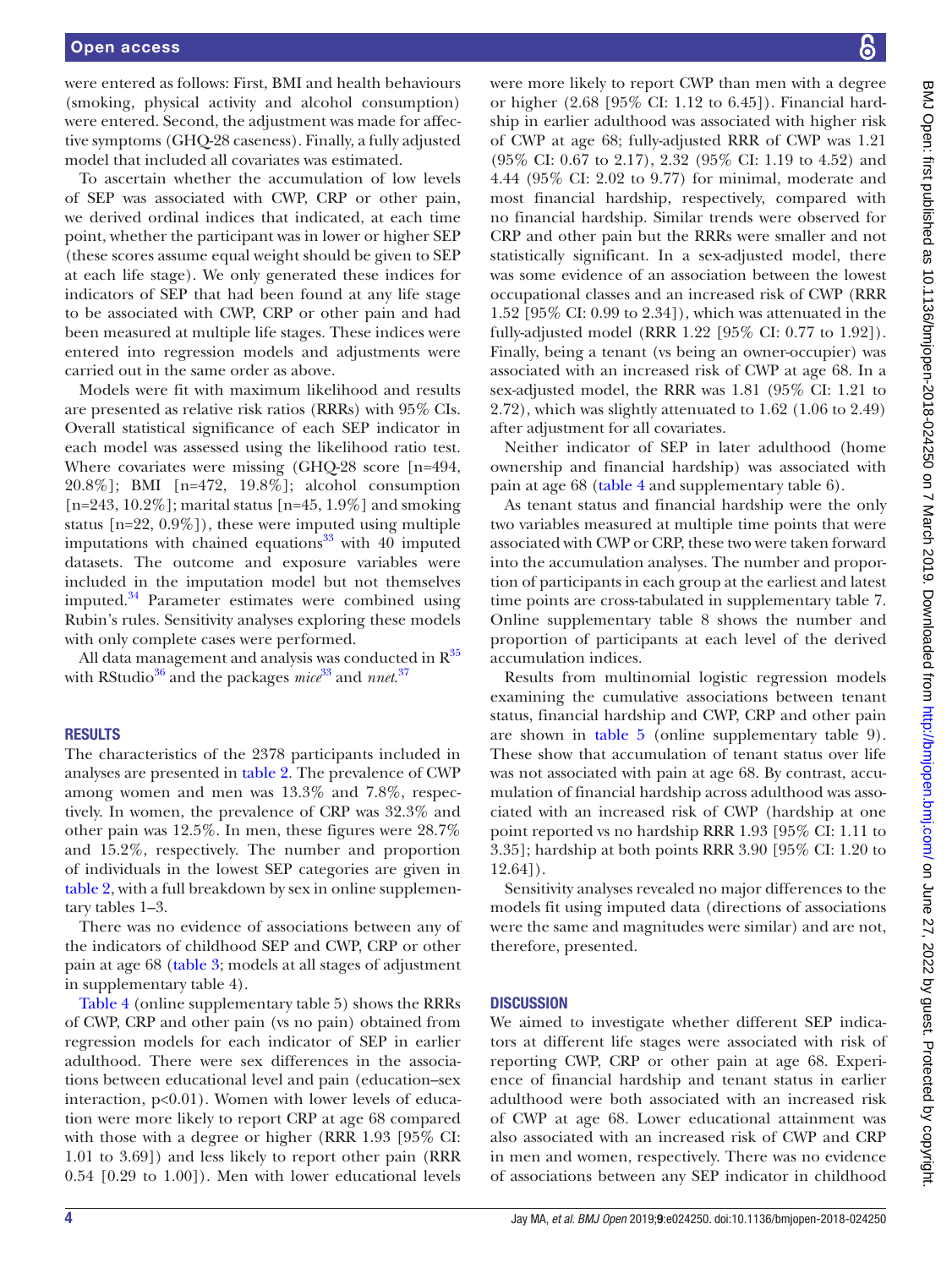were entered as follows: First, BMI and health behaviours (smoking, physical activity and alcohol consumption) were entered. Second, the adjustment was made for affective symptoms (GHQ-28 caseness). Finally, a fully adjusted model that included all covariates was estimated.

To ascertain whether the accumulation of low levels of SEP was associated with CWP, CRP or other pain, we derived ordinal indices that indicated, at each time point, whether the participant was in lower or higher SEP (these scores assume equal weight should be given to SEP at each life stage). We only generated these indices for indicators of SEP that had been found at any life stage to be associated with CWP, CRP or other pain and had been measured at multiple life stages. These indices were entered into regression models and adjustments were carried out in the same order as above.

Models were fit with maximum likelihood and results are presented as relative risk ratios (RRRs) with 95% CIs. Overall statistical significance of each SEP indicator in each model was assessed using the likelihood ratio test. Where covariates were missing (GHQ-28 score [n=494, 20.8%]; BMI [n=472, 19.8%]; alcohol consumption  $[n=243, 10.2\%]$ ; marital status  $[n=45, 1.9\%]$  and smoking status  $[n=22, 0.9\%]$ , these were imputed using multiple imputations with chained equations $33$  with 40 imputed datasets. The outcome and exposure variables were included in the imputation model but not themselves imputed. $34$  Parameter estimates were combined using Rubin's rules. Sensitivity analyses exploring these models with only complete cases were performed.

All data management and analysis was conducted in  $R^{35}$ with RStudio[36](#page-9-5) and the packages *mice*[33](#page-9-2) and *nnet*. [37](#page-9-6)

#### **RESULTS**

The characteristics of the 2378 participants included in analyses are presented in [table](#page-4-0) 2. The prevalence of CWP among women and men was 13.3% and 7.8%, respectively. In women, the prevalence of CRP was 32.3% and other pain was 12.5%. In men, these figures were 28.7% and 15.2%, respectively. The number and proportion of individuals in the lowest SEP categories are given in [table](#page-4-0) 2, with a full breakdown by sex in online [supplemen](https://dx.doi.org/10.1136/bmjopen-2018-024250)[tary tables 1–3](https://dx.doi.org/10.1136/bmjopen-2018-024250).

There was no evidence of associations between any of the indicators of childhood SEP and CWP, CRP or other pain at age 68 [\(table](#page-5-0) 3; models at all stages of adjustment in [supplementary table 4](https://dx.doi.org/10.1136/bmjopen-2018-024250)).

[Table](#page-6-0) 4 (online [supplementary table 5](https://dx.doi.org/10.1136/bmjopen-2018-024250)) shows the RRRs of CWP, CRP and other pain (vs no pain) obtained from regression models for each indicator of SEP in earlier adulthood. There were sex differences in the associations between educational level and pain (education–sex interaction,  $p<0.01$ ). Women with lower levels of education were more likely to report CRP at age 68 compared with those with a degree or higher (RRR 1.93 [95% CI: 1.01 to 3.69]) and less likely to report other pain (RRR 0.54 [0.29 to 1.00]). Men with lower educational levels

were more likely to report CWP than men with a degree or higher (2.68 [95% CI: 1.12 to 6.45]). Financial hardship in earlier adulthood was associated with higher risk of CWP at age 68; fully-adjusted RRR of CWP was 1.21 (95% CI: 0.67 to 2.17), 2.32 (95% CI: 1.19 to 4.52) and 4.44 (95% CI: 2.02 to 9.77) for minimal, moderate and most financial hardship, respectively, compared with no financial hardship. Similar trends were observed for CRP and other pain but the RRRs were smaller and not statistically significant. In a sex-adjusted model, there was some evidence of an association between the lowest occupational classes and an increased risk of CWP (RRR 1.52 [95% CI: 0.99 to 2.34]), which was attenuated in the fully-adjusted model (RRR 1.22 [95% CI: 0.77 to 1.92]). Finally, being a tenant (vs being an owner-occupier) was associated with an increased risk of CWP at age 68. In a sex-adjusted model, the RRR was 1.81 (95% CI: 1.21 to 2.72), which was slightly attenuated to 1.62 (1.06 to 2.49) after adjustment for all covariates.

Neither indicator of SEP in later adulthood (home ownership and financial hardship) was associated with pain at age 68 [\(table](#page-6-0) 4 and [supplementary table 6](https://dx.doi.org/10.1136/bmjopen-2018-024250)).

As tenant status and financial hardship were the only two variables measured at multiple time points that were associated with CWP or CRP, these two were taken forward into the accumulation analyses. The number and proportion of participants in each group at the earliest and latest time points are cross-tabulated in [supplementary table 7](https://dx.doi.org/10.1136/bmjopen-2018-024250). Online [supplementary table 8](https://dx.doi.org/10.1136/bmjopen-2018-024250) shows the number and proportion of participants at each level of the derived accumulation indices.

Results from multinomial logistic regression models examining the cumulative associations between tenant status, financial hardship and CWP, CRP and other pain are shown in [table](#page-7-0) 5 (online [supplementary table 9\)](https://dx.doi.org/10.1136/bmjopen-2018-024250). These show that accumulation of tenant status over life was not associated with pain at age 68. By contrast, accumulation of financial hardship across adulthood was associated with an increased risk of CWP (hardship at one point reported vs no hardship RRR 1.93 [95% CI: 1.11 to 3.35]; hardship at both points RRR 3.90 [95% CI: 1.20 to 12.64]).

Sensitivity analyses revealed no major differences to the models fit using imputed data (directions of associations were the same and magnitudes were similar) and are not, therefore, presented.

#### **DISCUSSION**

We aimed to investigate whether different SEP indicators at different life stages were associated with risk of reporting CWP, CRP or other pain at age 68. Experience of financial hardship and tenant status in earlier adulthood were both associated with an increased risk of CWP at age 68. Lower educational attainment was also associated with an increased risk of CWP and CRP in men and women, respectively. There was no evidence of associations between any SEP indicator in childhood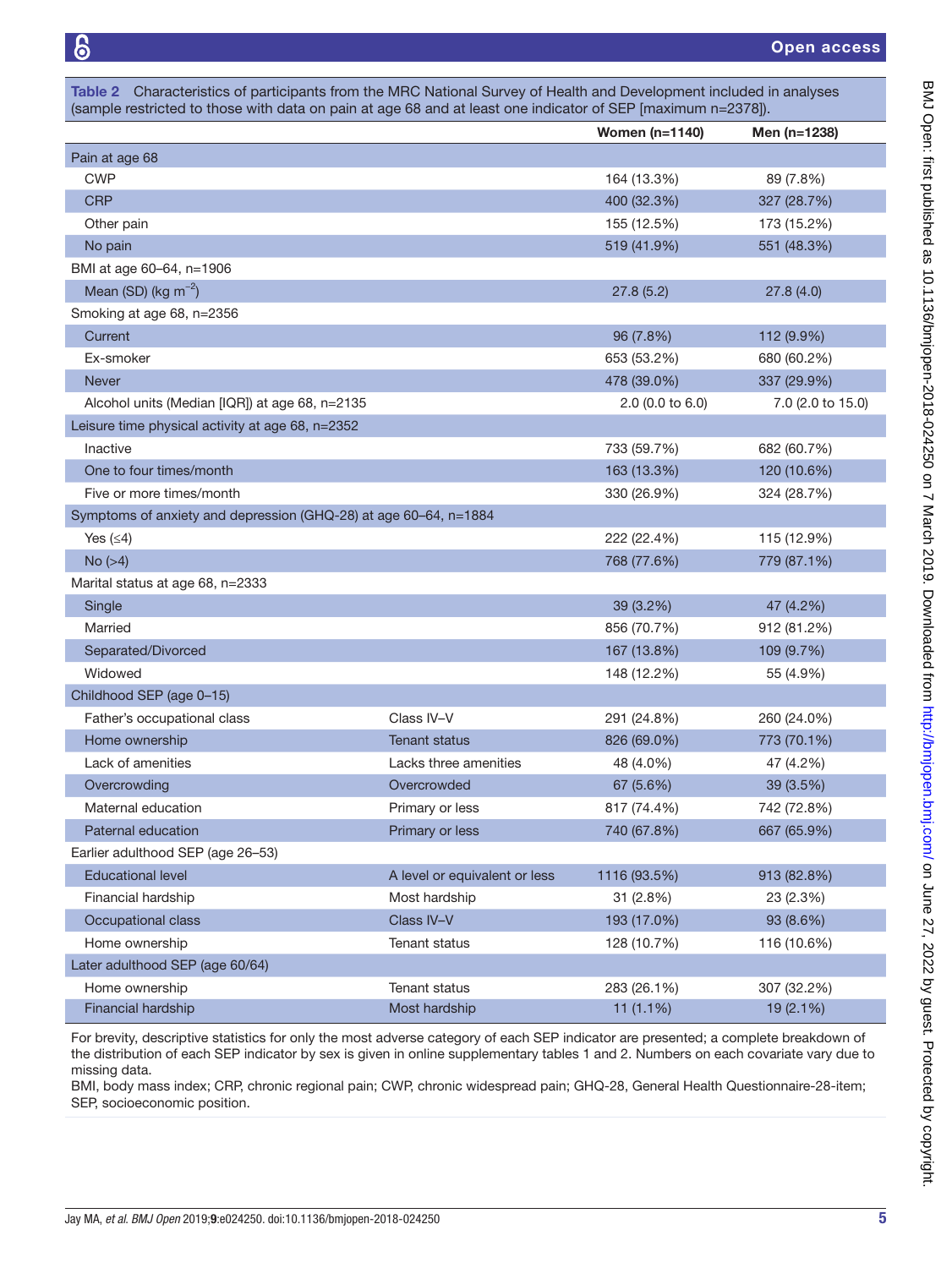<span id="page-4-0"></span>

|                                                                  |                               | <b>Women (n=1140)</b> | Men (n=1238)      |
|------------------------------------------------------------------|-------------------------------|-----------------------|-------------------|
| Pain at age 68                                                   |                               |                       |                   |
| <b>CWP</b>                                                       |                               | 164 (13.3%)           | 89 (7.8%)         |
| <b>CRP</b>                                                       |                               | 400 (32.3%)           | 327 (28.7%)       |
| Other pain                                                       |                               | 155 (12.5%)           | 173 (15.2%)       |
| No pain                                                          |                               | 519 (41.9%)           | 551 (48.3%)       |
| BMI at age 60-64, n=1906                                         |                               |                       |                   |
| Mean (SD) ( $kg \, \text{m}^{-2}$ )                              |                               | 27.8(5.2)             | 27.8(4.0)         |
| Smoking at age 68, n=2356                                        |                               |                       |                   |
| Current                                                          |                               | 96 (7.8%)             | 112 (9.9%)        |
| Ex-smoker                                                        |                               | 653 (53.2%)           | 680 (60.2%)       |
| <b>Never</b>                                                     |                               | 478 (39.0%)           | 337 (29.9%)       |
| Alcohol units (Median [IQR]) at age 68, n=2135                   |                               | 2.0 (0.0 to 6.0)      | 7.0 (2.0 to 15.0) |
| Leisure time physical activity at age 68, n=2352                 |                               |                       |                   |
| Inactive                                                         |                               | 733 (59.7%)           | 682 (60.7%)       |
| One to four times/month                                          |                               | 163 (13.3%)           | 120 (10.6%)       |
| Five or more times/month                                         |                               | 330 (26.9%)           | 324 (28.7%)       |
| Symptoms of anxiety and depression (GHQ-28) at age 60-64, n=1884 |                               |                       |                   |
| Yes $(≤4)$                                                       |                               | 222 (22.4%)           | 115 (12.9%)       |
| No (>4)                                                          |                               | 768 (77.6%)           | 779 (87.1%)       |
| Marital status at age 68, n=2333                                 |                               |                       |                   |
| Single                                                           |                               | 39 (3.2%)             | 47 (4.2%)         |
| Married                                                          |                               | 856 (70.7%)           | 912 (81.2%)       |
| Separated/Divorced                                               |                               | 167 (13.8%)           | 109 (9.7%)        |
| Widowed                                                          |                               | 148 (12.2%)           | 55 (4.9%)         |
| Childhood SEP (age 0-15)                                         |                               |                       |                   |
| Father's occupational class                                      | Class IV-V                    | 291 (24.8%)           | 260 (24.0%)       |
| Home ownership                                                   | <b>Tenant status</b>          | 826 (69.0%)           | 773 (70.1%)       |
| Lack of amenities                                                | Lacks three amenities         | 48 (4.0%)             | 47 (4.2%)         |
| Overcrowding                                                     | Overcrowded                   | 67 (5.6%)             | 39 (3.5%)         |
| Maternal education                                               | Primary or less               | 817 (74.4%)           | 742 (72.8%)       |
| Paternal education                                               | Primary or less               | 740 (67.8%)           | 667 (65.9%)       |
| Earlier adulthood SEP (age 26-53)                                |                               |                       |                   |
| <b>Educational level</b>                                         | A level or equivalent or less | 1116 (93.5%)          | 913 (82.8%)       |
| Financial hardship                                               | Most hardship                 | 31 (2.8%)             | 23 (2.3%)         |
| Occupational class                                               | Class IV-V                    | 193 (17.0%)           | 93 (8.6%)         |
| Home ownership                                                   | Tenant status                 | 128 (10.7%)           | 116 (10.6%)       |
| Later adulthood SEP (age 60/64)                                  |                               |                       |                   |
| Home ownership                                                   | Tenant status                 | 283 (26.1%)           | 307 (32.2%)       |
| Financial hardship                                               | Most hardship                 | 11 $(1.1\%)$          | 19 (2.1%)         |

For brevity, descriptive statistics for only the most adverse category of each SEP indicator are presented; a complete breakdown of the distribution of each SEP indicator by sex is given in online [supplementary tables 1 and 2](https://dx.doi.org/10.1136/bmjopen-2018-024250). Numbers on each covariate vary due to missing data.

BMI, body mass index; CRP, chronic regional pain; CWP, chronic widespread pain; GHQ-28, General Health Questionnaire-28-item; SEP, socioeconomic position.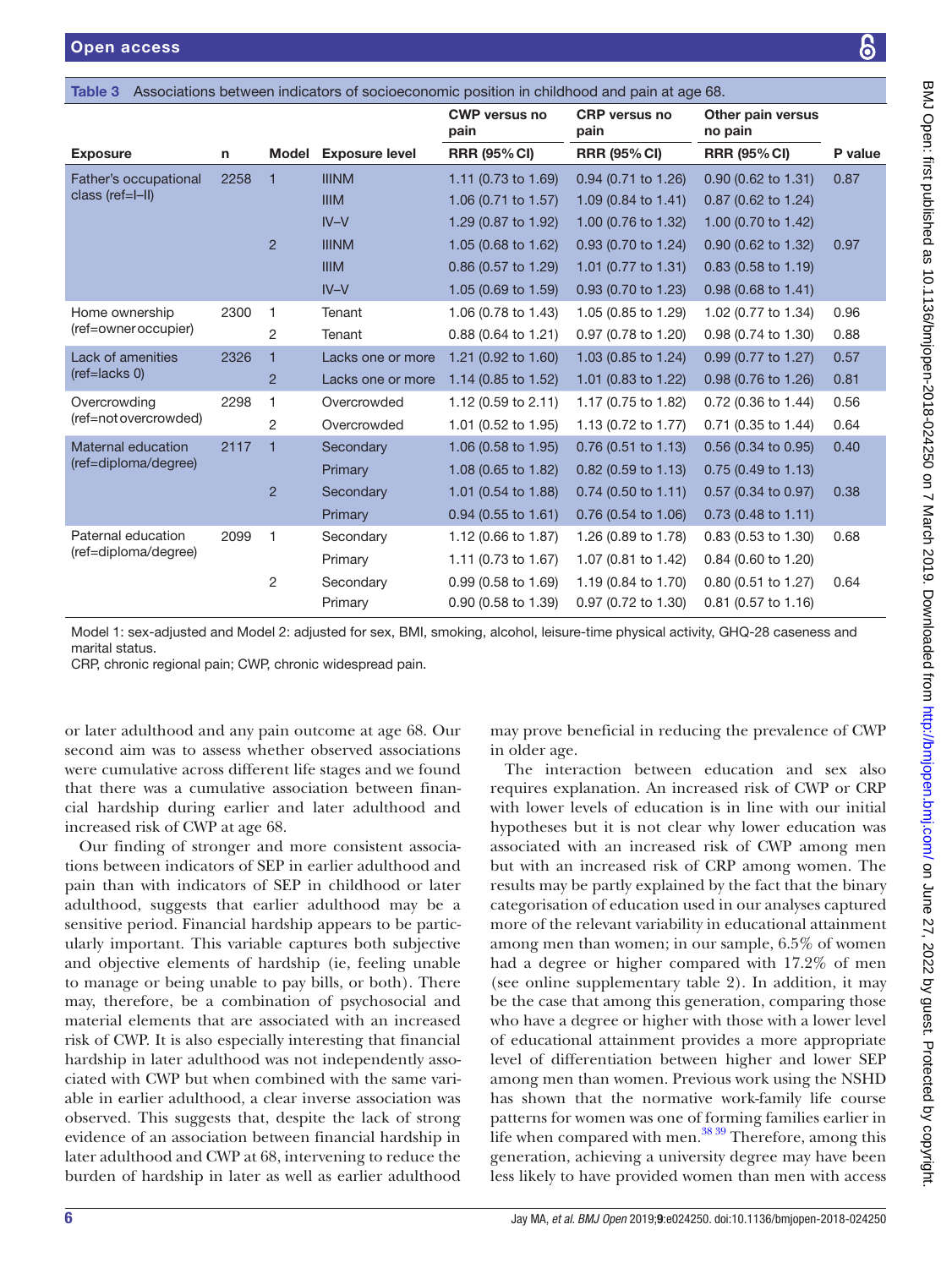<span id="page-5-0"></span>

| Table 3               |      |                |                       |                              | Associations between indicators of socioeconomic position in childhood and pain at age 68. |                               |         |
|-----------------------|------|----------------|-----------------------|------------------------------|--------------------------------------------------------------------------------------------|-------------------------------|---------|
|                       |      |                |                       | <b>CWP versus no</b><br>pain | <b>CRP</b> versus no<br>pain                                                               | Other pain versus<br>no pain  |         |
| <b>Exposure</b>       | n    | <b>Model</b>   | <b>Exposure level</b> | <b>RRR (95% CI)</b>          | <b>RRR (95% CI)</b>                                                                        | <b>RRR (95% CI)</b>           | P value |
| Father's occupational | 2258 | $\mathbf{1}$   | <b>IIINM</b>          | 1.11 (0.73 to 1.69)          | 0.94 (0.71 to 1.26)                                                                        | 0.90 (0.62 to 1.31)           | 0.87    |
| class (ref=I-II)      |      |                | <b>IIIM</b>           | 1.06 (0.71 to 1.57)          | 1.09 (0.84 to 1.41)                                                                        | 0.87 (0.62 to 1.24)           |         |
|                       |      |                | $IV-V$                | 1.29 (0.87 to 1.92)          | 1.00 (0.76 to 1.32)                                                                        | 1.00 (0.70 to 1.42)           |         |
|                       |      | $\overline{2}$ | <b>IIINM</b>          | 1.05 (0.68 to 1.62)          | 0.93 (0.70 to 1.24)                                                                        | 0.90 (0.62 to 1.32)           | 0.97    |
|                       |      |                | <b>IIIM</b>           | 0.86 (0.57 to 1.29)          | 1.01 (0.77 to 1.31)                                                                        | 0.83 (0.58 to 1.19)           |         |
|                       |      |                | $IV-V$                | 1.05 (0.69 to 1.59)          | 0.93 (0.70 to 1.23)                                                                        | 0.98 (0.68 to 1.41)           |         |
| Home ownership        | 2300 | $\mathbf{1}$   | Tenant                | 1.06 (0.78 to 1.43)          | 1.05 (0.85 to 1.29)                                                                        | 1.02 (0.77 to 1.34)           | 0.96    |
| (ref=owner occupier)  |      | 2              | Tenant                | 0.88 (0.64 to 1.21)          | 0.97 (0.78 to 1.20)                                                                        | 0.98 (0.74 to 1.30)           | 0.88    |
| Lack of amenities     | 2326 | $\mathbf{1}$   | Lacks one or more     | 1.21 (0.92 to 1.60)          | 1.03 (0.85 to 1.24)                                                                        | 0.99 (0.77 to 1.27)           | 0.57    |
| $(ref=lacks0)$        |      | $\overline{2}$ | Lacks one or more     | 1.14 (0.85 to 1.52)          | 1.01 (0.83 to 1.22)                                                                        | 0.98 (0.76 to 1.26)           | 0.81    |
| Overcrowding          | 2298 | 1              | Overcrowded           | 1.12 (0.59 to 2.11)          | 1.17 (0.75 to 1.82)                                                                        | 0.72 (0.36 to 1.44)           | 0.56    |
| (ref=not overcrowded) |      | 2              | Overcrowded           | 1.01 (0.52 to 1.95)          | 1.13 (0.72 to 1.77)                                                                        | 0.71 (0.35 to 1.44)           | 0.64    |
| Maternal education    | 2117 | $\mathbf{1}$   | Secondary             | 1.06 (0.58 to 1.95)          | 0.76 (0.51 to 1.13)                                                                        | 0.56 (0.34 to 0.95)           | 0.40    |
| (ref=diploma/degree)  |      |                | Primary               | 1.08 (0.65 to 1.82)          | 0.82 (0.59 to 1.13)                                                                        | 0.75 (0.49 to 1.13)           |         |
|                       |      | $\overline{2}$ | Secondary             | 1.01 (0.54 to 1.88)          | $0.74$ (0.50 to 1.11)                                                                      | 0.57 (0.34 to 0.97)           | 0.38    |
|                       |      |                | Primary               | $0.94$ (0.55 to 1.61)        | 0.76 (0.54 to 1.06)                                                                        | $0.73(0.48 \text{ to } 1.11)$ |         |
| Paternal education    | 2099 | 1              | Secondary             | 1.12 (0.66 to 1.87)          | 1.26 (0.89 to 1.78)                                                                        | 0.83 (0.53 to 1.30)           | 0.68    |
| (ref=diploma/degree)  |      |                | Primary               | 1.11 (0.73 to 1.67)          | 1.07 (0.81 to 1.42)                                                                        | 0.84 (0.60 to 1.20)           |         |
|                       |      | 2              | Secondary             | 0.99 (0.58 to 1.69)          | 1.19 (0.84 to 1.70)                                                                        | 0.80 (0.51 to 1.27)           | 0.64    |
|                       |      |                | Primary               | 0.90 (0.58 to 1.39)          | 0.97 (0.72 to 1.30)                                                                        | 0.81 (0.57 to 1.16)           |         |

Model 1: sex-adjusted and Model 2: adjusted for sex, BMI, smoking, alcohol, leisure-time physical activity, GHQ-28 caseness and marital status.

CRP, chronic regional pain; CWP, chronic widespread pain.

or later adulthood and any pain outcome at age 68. Our second aim was to assess whether observed associations were cumulative across different life stages and we found that there was a cumulative association between financial hardship during earlier and later adulthood and increased risk of CWP at age 68.

Our finding of stronger and more consistent associations between indicators of SEP in earlier adulthood and pain than with indicators of SEP in childhood or later adulthood, suggests that earlier adulthood may be a sensitive period. Financial hardship appears to be particularly important. This variable captures both subjective and objective elements of hardship (ie, feeling unable to manage or being unable to pay bills, or both). There may, therefore, be a combination of psychosocial and material elements that are associated with an increased risk of CWP. It is also especially interesting that financial hardship in later adulthood was not independently associated with CWP but when combined with the same variable in earlier adulthood, a clear inverse association was observed. This suggests that, despite the lack of strong evidence of an association between financial hardship in later adulthood and CWP at 68, intervening to reduce the burden of hardship in later as well as earlier adulthood

may prove beneficial in reducing the prevalence of CWP in older age.

The interaction between education and sex also requires explanation. An increased risk of CWP or CRP with lower levels of education is in line with our initial hypotheses but it is not clear why lower education was associated with an increased risk of CWP among men but with an increased risk of CRP among women. The results may be partly explained by the fact that the binary categorisation of education used in our analyses captured more of the relevant variability in educational attainment among men than women; in our sample, 6.5% of women had a degree or higher compared with 17.2% of men (see online [supplementary table 2\)](https://dx.doi.org/10.1136/bmjopen-2018-024250). In addition, it may be the case that among this generation, comparing those who have a degree or higher with those with a lower level of educational attainment provides a more appropriate level of differentiation between higher and lower SEP among men than women. Previous work using the NSHD has shown that the normative work-family life course patterns for women was one of forming families earlier in life when compared with men. $^{38\,39}$  Therefore, among this generation, achieving a university degree may have been less likely to have provided women than men with access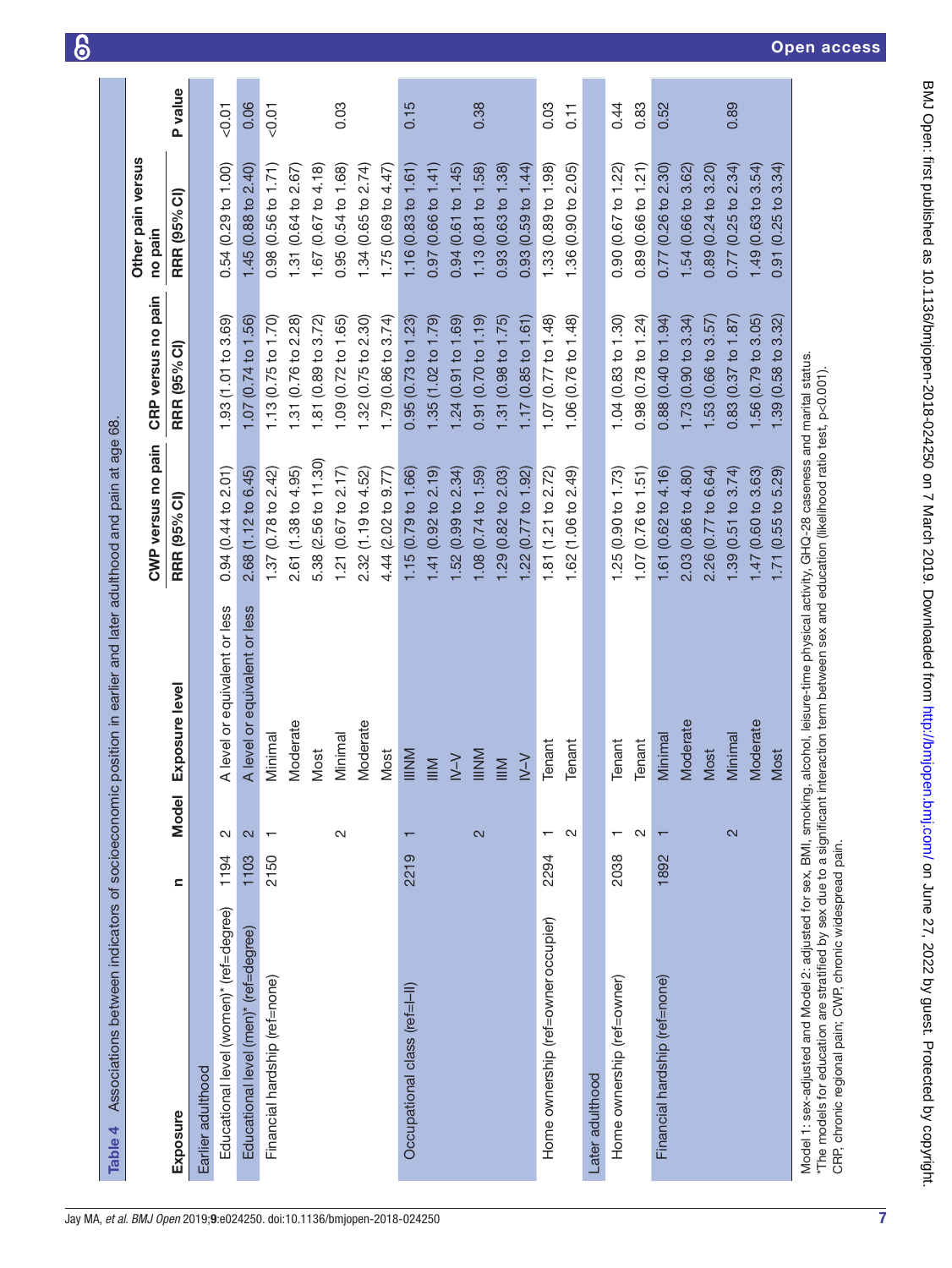<span id="page-6-0"></span>

| Model<br>$\sim$<br>$\mathbf{\Omega}$<br>$\overline{\phantom{0}}$<br>1194<br>1103<br>2150<br>$\mathbf{C}$<br>Educational level (women)* (ref=degree)<br>Educational level (men)* (ref=degree)<br>Financial hardship (ref=none)<br>Earlier adulthood<br>Exposure |                               | CWP versus no pain                              | CRP versus no pain               | Other pain versus<br>no pain      |                   |
|----------------------------------------------------------------------------------------------------------------------------------------------------------------------------------------------------------------------------------------------------------------|-------------------------------|-------------------------------------------------|----------------------------------|-----------------------------------|-------------------|
|                                                                                                                                                                                                                                                                | Exposure level                | <b>RRR (95% CI)</b>                             | (95% CI)<br><b>RRR</b>           | <b>RRR (95% CI)</b>               | P value           |
|                                                                                                                                                                                                                                                                |                               |                                                 |                                  |                                   |                   |
|                                                                                                                                                                                                                                                                | A level or equivalent or less | 0.94 (0.44 to 2.01)                             | 1.93 (1.01 to 3.69)              | 0.54(0.29 to 1.00)                | 0.01              |
|                                                                                                                                                                                                                                                                | A level or equivalent or less | 2.68 (1.12 to 6.45)                             | 1.07 (0.74 to 1.56)              | 1.45(0.88 to 2.40)                | 0.06              |
|                                                                                                                                                                                                                                                                | Minimal                       | 1.37 (0.78 to $2.42$ )                          | 1.13(0.75 to 1.70)               | 0.98 (0.56 to 1.71)               | < 0.01            |
|                                                                                                                                                                                                                                                                | Moderate                      | 2.61 (1.38 to 4.95)                             | 31 (0.76 to 2.28)                | 1.31 ( $0.64$ to $2.67$ )         |                   |
|                                                                                                                                                                                                                                                                | Most                          | $(2.56 \text{ to } 11.30)$<br>5.38 <sub>1</sub> | (0.89 to 3.72)<br>$\overline{8}$ | 1.67 (0.67 to 4.18)               |                   |
| $\mathbf{\Omega}$                                                                                                                                                                                                                                              | Minimal                       | 1.21 ( $0.67$ to $2.17$ )                       | 1.09 (0.72 to 1.65)              | 0.95(0.54 to 1.68)                | 0.03              |
|                                                                                                                                                                                                                                                                | Moderate                      | 2.32 (1.19 to 4.52)                             | 1.32(0.75 to 2.30)               | 1.34(0.65 to 2.74)                |                   |
|                                                                                                                                                                                                                                                                | Most                          | 4.44 (2.02 to 9.77)                             | 1.79 (0.86 to 3.74)              | 1.75 (0.69 to 4.47)               |                   |
| $\blacksquare$<br>2219<br>Occupational class (ref=I-II)                                                                                                                                                                                                        | IIINM                         | .15(0.79 to 1.66)                               | 0.95(0.73 to 1.23)               | 1.16(0.83 to 1.61)                | 0.15              |
|                                                                                                                                                                                                                                                                | $\leq$                        | 1.41(0.92 to 2.19)                              | 1.35(1.02 to 1.79)               | 0.97 (0.66 to 1.41)               |                   |
|                                                                                                                                                                                                                                                                | $Y-Y$                         | 1.52(0.99 to 2.34)                              | 1.24(0.91 to 1.69)               | 0.94 (0.61 to 1.45)               |                   |
| $\mathbf{a}$                                                                                                                                                                                                                                                   | INNI                          | .08(0.74 to 1.59)                               | 0.91 (0.70 to 1.19)              | 1.13 (0.81 to 1.58)               | 0.38              |
|                                                                                                                                                                                                                                                                | $\leq$                        | $1.29$ (0.82 to 2.03)                           | 1.31(0.98 to 1.75)               | 0.93(0.63 to 1.38)                |                   |
|                                                                                                                                                                                                                                                                | $\vee$                        | .22(0.77 to 1.92)                               | 1.17(0.85 to 1.61)               | 0.93(0.59 to 1.44)                |                   |
| $\overline{\phantom{0}}$<br>2294<br>Home ownership (ref=owner occupier)                                                                                                                                                                                        | Tenant                        | 1.81 (1.21 to 2.72)                             | 1.07 (0.77 to 1.48)              | 1.33 (0.89 to 1.98)               | 0.03              |
| $\mathbf{\Omega}$                                                                                                                                                                                                                                              | Tenant                        | 1.62 (1.06 to 2.49)                             | 1.06 (0.76 to 1.48)              | 1.36 (0.90 to 2.05)               | $\overline{0.11}$ |
| Later adulthood                                                                                                                                                                                                                                                |                               |                                                 |                                  |                                   |                   |
| $\overline{\phantom{0}}$<br>2038<br>Home ownership (ref=owner)                                                                                                                                                                                                 | Tenant                        | 1.25(0.90 to 1.73)                              | 1.04(0.83 to 1.30)               | 0.90 (0.67 to 1.22)               | 0.44              |
| $\sim$                                                                                                                                                                                                                                                         | Tenant                        | 1.07 (0.76 to 1.51)                             | 0.98(0.78 to 1.24)               | 0.89 (0.66 to 1.21)               | 0.83              |
| $\overline{\phantom{0}}$<br>1892<br>Financial hardship (ref=none)                                                                                                                                                                                              | Minimal                       | 1.61 (0.62 to 4.16)                             | 0.88 (0.40 to 1.94)              | 0.77(0.26 to 2.30)                | 0.52              |
|                                                                                                                                                                                                                                                                | Moderate                      | 2.03 (0.86 to 4.80)                             | 1.73(0.90 to 3.34)               | 1.54 (0.66 to 3.62)               |                   |
|                                                                                                                                                                                                                                                                | Most                          | 2.26 (0.77 to 6.64)                             | 1.53(0.66 to 3.57)               | 0.89(0.24 to 3.20)                |                   |
| $\mathbf{\Omega}$                                                                                                                                                                                                                                              | Minimal                       | 1.39(0.51 to 3.74)                              | 0.83(0.37 to 1.87)               | 0.77(0.25 to 2.34)                | 0.89              |
|                                                                                                                                                                                                                                                                | Moderate                      | 1.47 (0.60 to 3.63)                             | 1.56(0.79 to 3.05)               | 1.49(0.63 to 3.54)                |                   |
|                                                                                                                                                                                                                                                                | Most                          | (0.55 t 0 5.29)<br>1.71                         | 3.32<br>$0.58$ to<br>1.39        | $(0.25 \text{ to } 3.34)$<br>0.91 |                   |

 $\epsilon$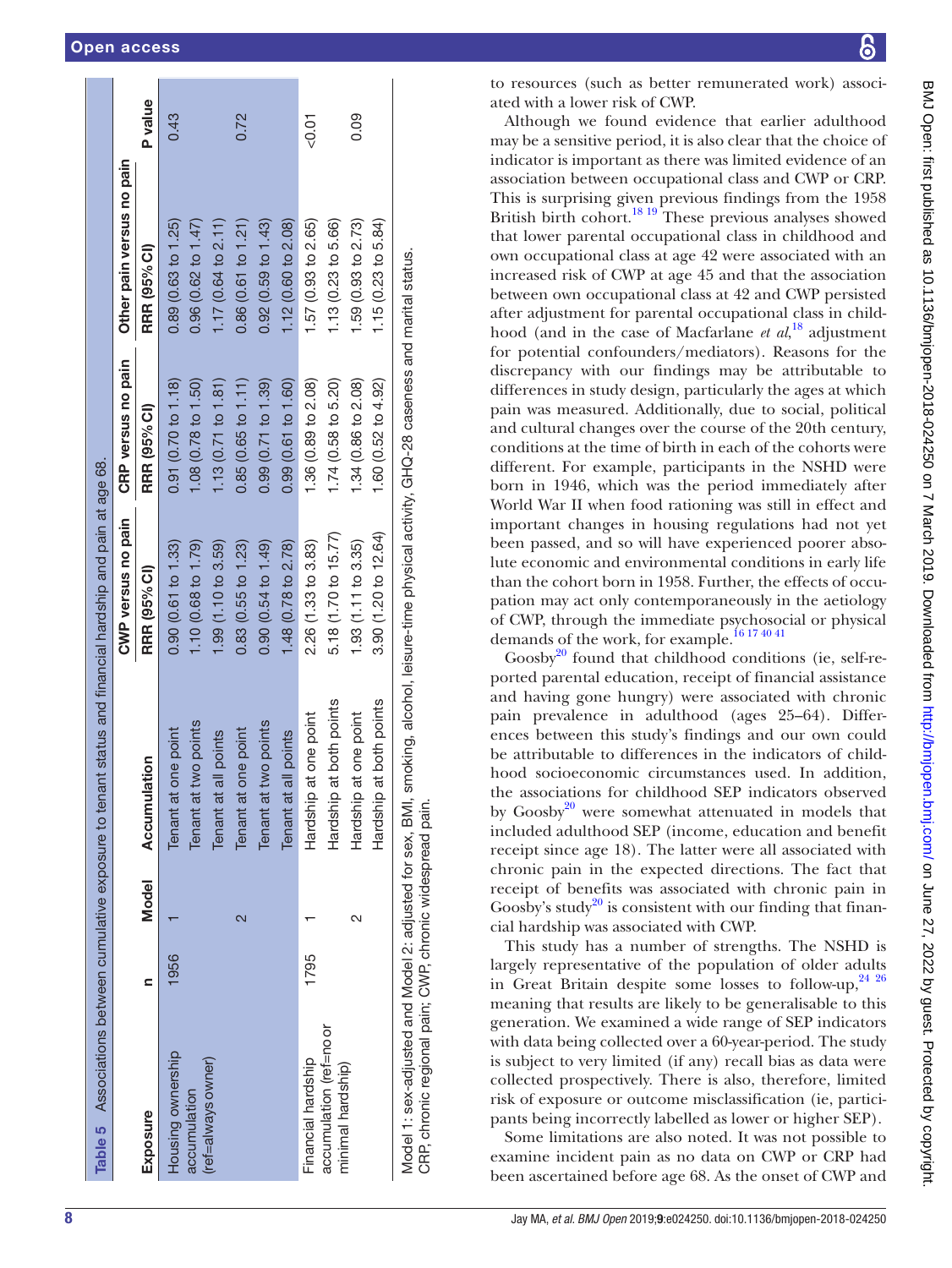| Table 5 Associations between cumulative exposure to tenant status and financial hardship and pain at age 68.           |      |       |                            |                                                                                       |                     |                           |                |
|------------------------------------------------------------------------------------------------------------------------|------|-------|----------------------------|---------------------------------------------------------------------------------------|---------------------|---------------------------|----------------|
|                                                                                                                        |      |       |                            | CWP versus no pain                                                                    | CRP versus no pain  | Other pain versus no pain |                |
| Exposure                                                                                                               |      | Model | Accumulation               | RRR (95% CI)                                                                          | RRR (95% CI)        | RRR (95% CI)              | <b>P</b> value |
| Housing ownership                                                                                                      | 1956 |       | Tenant at one point        | 0.90(0.61 to 1.33)                                                                    | 0.91(0.70 to 1.18)  | 0.89(0.63 to 1.25)        | 0.43           |
| accumulation                                                                                                           |      |       | Tenant at two points       | 1.10 (0.68 to 1.79)                                                                   | 1.08 (0.78 to 1.50) | 0.96 (0.62 to 1.47)       |                |
| (ref=always owner)                                                                                                     |      |       | Tenant at all points       | 1.99 (1.10 to 3.59)                                                                   | 1.13(0.71 to 1.81)  | 1.17(0.64 to 2.11)        |                |
|                                                                                                                        |      | 2     | Tenant at one point        | 0.83(0.55 to 1.23)                                                                    | 0.85(0.65 to 1.11)  | 0.86 (0.61 to 1.21)       | 0.72           |
|                                                                                                                        |      |       | Tenant at two points       | 0.90(0.54 to 1.49)                                                                    | 0.99(0.71 to 1.39)  | $0.92$ (0.59 to 1.43)     |                |
|                                                                                                                        |      |       | Tenant at all points       | 1.48 (0.78 to 2.78)                                                                   | 0.99 (0.61 to 1.60) | 1.12 (0.60 to 2.08)       |                |
| Financial hardship                                                                                                     | 1795 |       | Hardship at one point      | 2.26 (1.33 to 3.83)                                                                   | 1.36 (0.89 to 2.08) | 1.57 (0.93 to 2.65)       | $0.01$         |
| accumulation (ref=no or<br>minimal hardship)                                                                           |      |       | Hardship at both points    | 5.18 (1.70 to 15.77)                                                                  | 1.74(0.58 to 5.20)  | 1.13 (0.23 to 5.66)       |                |
|                                                                                                                        |      | N     | Hardship at one point      | (1.93(1.11 to 3.35))                                                                  | 1.34 (0.86 to 2.08) | 1.59 (0.93 to 2.73)       | 0.09           |
|                                                                                                                        |      |       | at both points<br>Hardship | 3.90 (1.20 to 12.64)                                                                  | 1.60 (0.52 to 4.92) | 1.15(0.23 to 5.84)        |                |
| Model 1: sex-adjusted and Model 2: adjusted for sex, BMI,<br>CRP, chronic regional pain; CWP, chronic widespread pain. |      |       |                            | smoking, alcohol, leisure-time physical activity, GHQ-28 caseness and marital status. |                     |                           |                |

to resources (such as better remunerated work) associated with a lower risk of CWP.

Although we found evidence that earlier adulthood may be a sensitive period, it is also clear that the choice of indicator is important as there was limited evidence of an association between occupational class and CWP or CRP. This is surprising given previous findings from the 1958 British birth cohort.<sup>18 19</sup> These previous analyses showed that lower parental occupational class in childhood and own occupational class at age 42 were associated with an increased risk of CWP at age 45 and that the association between own occupational class at 42 and CWP persisted after adjustment for parental occupational class in childhood (and in the case of Macfarlane *et al*, [18](#page-8-9) adjustment for potential confounders/mediators). Reasons for the discrepancy with our findings may be attributable to differences in study design, particularly the ages at which pain was measured. Additionally, due to social, political and cultural changes over the course of the 20th century, conditions at the time of birth in each of the cohorts were different. For example, participants in the NSHD were born in 1946, which was the period immediately after World War II when food rationing was still in effect and important changes in housing regulations had not yet been passed, and so will have experienced poorer absolute economic and environmental conditions in early life than the cohort born in 1958. Further, the effects of occupation may act only contemporaneously in the aetiology of CWP, through the immediate psychosocial or physical demands of the work, for example.<sup>[16 17 40 41](#page-8-15)</sup>

Goosby $^{20}$  found that childhood conditions (ie, self-reported parental education, receipt of financial assistance and having gone hungry) were associated with chronic pain prevalence in adulthood (ages 25–64). Differences between this study's findings and our own could be attributable to differences in the indicators of childhood socioeconomic circumstances used. In addition, the associations for childhood SEP indicators observed by  $Goosby<sup>20</sup>$  were somewhat attenuated in models that included adulthood SEP (income, education and benefit receipt since age 18). The latter were all associated with chronic pain in the expected directions. The fact that receipt of benefits was associated with chronic pain in Goosby's study<sup>20</sup> is consistent with our finding that financial hardship was associated with CWP.

This study has a number of strengths. The NSHD is largely representative of the population of older adults in Great Britain despite some losses to follow-up,  $2426$ meaning that results are likely to be generalisable to this generation. We examined a wide range of SEP indicators with data being collected over a 60-year-period. The study is subject to very limited (if any) recall bias as data were collected prospectively. There is also, therefore, limited risk of exposure or outcome misclassification (ie, participants being incorrectly labelled as lower or higher SEP).

<span id="page-7-0"></span>Some limitations are also noted. It was not possible to examine incident pain as no data on CWP or CRP had been ascertained before age 68. As the onset of CWP and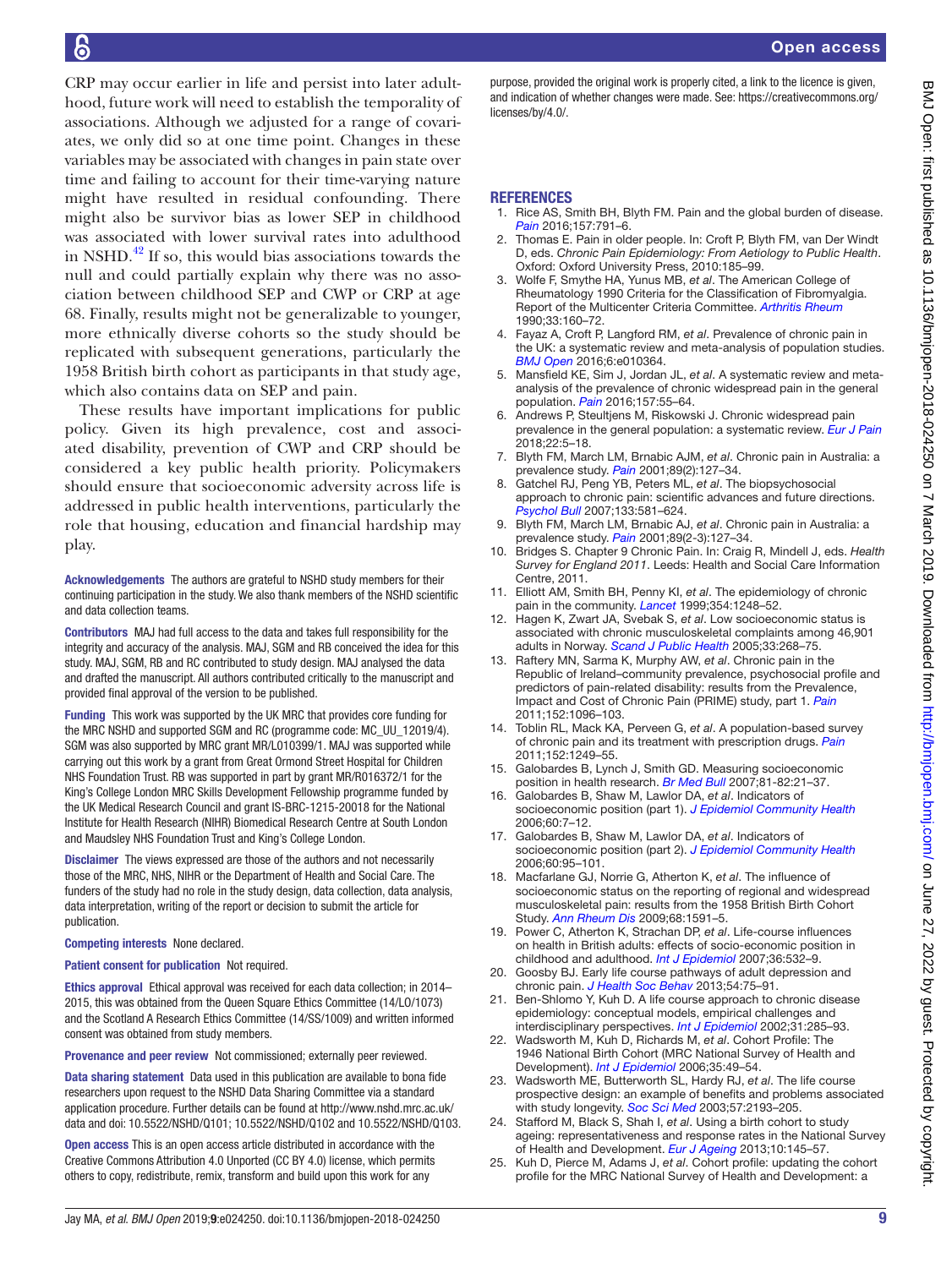# b

CRP may occur earlier in life and persist into later adulthood, future work will need to establish the temporality of associations. Although we adjusted for a range of covariates, we only did so at one time point. Changes in these variables may be associated with changes in pain state over time and failing to account for their time-varying nature might have resulted in residual confounding. There might also be survivor bias as lower SEP in childhood was associated with lower survival rates into adulthood in NSHD. $^{42}$  If so, this would bias associations towards the null and could partially explain why there was no association between childhood SEP and CWP or CRP at age 68. Finally, results might not be generalizable to younger, more ethnically diverse cohorts so the study should be replicated with subsequent generations, particularly the 1958 British birth cohort as participants in that study age, which also contains data on SEP and pain.

These results have important implications for public policy. Given its high prevalence, cost and associated disability, prevention of CWP and CRP should be considered a key public health priority. Policymakers should ensure that socioeconomic adversity across life is addressed in public health interventions, particularly the role that housing, education and financial hardship may play.

Acknowledgements The authors are grateful to NSHD study members for their continuing participation in the study. We also thank members of the NSHD scientific and data collection teams.

Contributors MAJ had full access to the data and takes full responsibility for the integrity and accuracy of the analysis. MAJ, SGM and RB conceived the idea for this study. MAJ, SGM, RB and RC contributed to study design. MAJ analysed the data and drafted the manuscript. All authors contributed critically to the manuscript and provided final approval of the version to be published.

Funding This work was supported by the UK MRC that provides core funding for the MRC NSHD and supported SGM and RC (programme code: MC\_UU\_12019/4). SGM was also supported by MRC grant MR/L010399/1. MAJ was supported while carrying out this work by a grant from Great Ormond Street Hospital for Children NHS Foundation Trust. RB was supported in part by grant MR/R016372/1 for the King's College London MRC Skills Development Fellowship programme funded by the UK Medical Research Council and grant IS-BRC-1215-20018 for the National Institute for Health Research (NIHR) Biomedical Research Centre at South London and Maudsley NHS Foundation Trust and King's College London.

Disclaimer The views expressed are those of the authors and not necessarily those of the MRC, NHS, NIHR or the Department of Health and Social Care. The funders of the study had no role in the study design, data collection, data analysis, data interpretation, writing of the report or decision to submit the article for publication.

Competing interests None declared.

Patient consent for publication Not required.

Ethics approval Ethical approval was received for each data collection; in 2014– 2015, this was obtained from the Queen Square Ethics Committee (14/LO/1073) and the Scotland A Research Ethics Committee (14/SS/1009) and written informed consent was obtained from study members.

Provenance and peer review Not commissioned; externally peer reviewed.

Data sharing statement Data used in this publication are available to bona fide researchers upon request to the NSHD Data Sharing Committee via a standard application procedure. Further details can be found at [http://www.nshd.mrc.ac.uk/](http://www.nshd.mrc.ac.uk/data) [data](http://www.nshd.mrc.ac.uk/data) and doi: 10.5522/NSHD/Q101; 10.5522/NSHD/Q102 and 10.5522/NSHD/Q103.

Open access This is an open access article distributed in accordance with the Creative Commons Attribution 4.0 Unported (CC BY 4.0) license, which permits others to copy, redistribute, remix, transform and build upon this work for any

purpose, provided the original work is properly cited, a link to the licence is given, and indication of whether changes were made. See: [https://creativecommons.org/](https://creativecommons.org/licenses/by/4.0/) [licenses/by/4.0/](https://creativecommons.org/licenses/by/4.0/).

#### **REFERENCES**

- <span id="page-8-0"></span>1. Rice AS, Smith BH, Blyth FM. Pain and the global burden of disease. *[Pain](http://dx.doi.org/10.1097/j.pain.0000000000000454)* 2016;157:791–6.
- <span id="page-8-1"></span>2. Thomas E. Pain in older people. In: Croft P, Blyth FM, van Der Windt D, eds. *Chronic Pain Epidemiology: From Aetiology to Public Health*. Oxford: Oxford University Press, 2010:185–99.
- <span id="page-8-2"></span>3. Wolfe F, Smythe HA, Yunus MB, *et al*. The American College of Rheumatology 1990 Criteria for the Classification of Fibromyalgia. Report of the Multicenter Criteria Committee. *[Arthritis Rheum](http://www.ncbi.nlm.nih.gov/pubmed/2306288)* 1990;33:160–72.
- <span id="page-8-3"></span>4. Fayaz A, Croft P, Langford RM, *et al*. Prevalence of chronic pain in the UK: a systematic review and meta-analysis of population studies. *[BMJ Open](http://dx.doi.org/10.1136/bmjopen-2015-010364)* 2016;6:e010364.
- <span id="page-8-4"></span>5. Mansfield KE, Sim J, Jordan JL, *et al*. A systematic review and metaanalysis of the prevalence of chronic widespread pain in the general population. *[Pain](http://dx.doi.org/10.1097/j.pain.0000000000000314)* 2016;157:55–64.
- 6. Andrews P, Steultjens M, Riskowski J. Chronic widespread pain prevalence in the general population: a systematic review. *[Eur J Pain](http://dx.doi.org/10.1002/ejp.1090)* 2018;22:5–18.
- <span id="page-8-5"></span>7. Blyth FM, March LM, Brnabic AJM, *et al*. Chronic pain in Australia: a prevalence study. *[Pain](http://dx.doi.org/10.1016/S0304-3959(00)00355-9)* 2001;89(2):127–34.
- <span id="page-8-6"></span>8. Gatchel RJ, Peng YB, Peters ML, *et al*. The biopsychosocial approach to chronic pain: scientific advances and future directions. *[Psychol Bull](http://dx.doi.org/10.1037/0033-2909.133.4.581)* 2007;133:581–624.
- <span id="page-8-7"></span>9. Blyth FM, March LM, Brnabic AJ, *et al*. Chronic pain in Australia: a prevalence study. *[Pain](http://dx.doi.org/10.1016/S0304-3959(00)00355-9)* 2001;89(2-3):127–34.
- <span id="page-8-16"></span>10. Bridges S. Chapter 9 Chronic Pain. In: Craig R, Mindell J, eds. *Health Survey for England 2011*. Leeds: Health and Social Care Information Centre, 2011.
- 11. Elliott AM, Smith BH, Penny KI, *et al*. The epidemiology of chronic pain in the community. *[Lancet](http://dx.doi.org/10.1016/S0140-6736(99)03057-3)* 1999;354:1248–52.
- 12. Hagen K, Zwart JA, Svebak S, *et al*. Low socioeconomic status is associated with chronic musculoskeletal complaints among 46,901 adults in Norway. *[Scand J Public Health](http://dx.doi.org/10.1080/14034940510005699)* 2005;33:268–75.
- 13. Raftery MN, Sarma K, Murphy AW, *et al*. Chronic pain in the Republic of Ireland–community prevalence, psychosocial profile and predictors of pain-related disability: results from the Prevalence, Impact and Cost of Chronic Pain (PRIME) study, part 1. *[Pain](http://dx.doi.org/10.1016/j.pain.2011.01.019)* 2011;152:1096–103.
- 14. Toblin RL, Mack KA, Perveen G, *et al*. A population-based survey of chronic pain and its treatment with prescription drugs. *[Pain](http://dx.doi.org/10.1016/j.pain.2010.12.036)* 2011;152:1249–55.
- <span id="page-8-8"></span>15. Galobardes B, Lynch J, Smith GD. Measuring socioeconomic position in health research. *[Br Med Bull](http://dx.doi.org/10.1093/bmb/ldm001)* 2007;81-82:21–37.
- <span id="page-8-15"></span>16. Galobardes B, Shaw M, Lawlor DA, *et al*. Indicators of socioeconomic position (part 1). *[J Epidemiol Community Health](http://dx.doi.org/10.1136/jech.2004.023531)* 2006;60:7–12.
- 17. Galobardes B, Shaw M, Lawlor DA, *et al*. Indicators of socioeconomic position (part 2). *[J Epidemiol Community Health](http://dx.doi.org/10.1136/jech.2004.028092)* 2006;60:95–101.
- <span id="page-8-9"></span>18. Macfarlane GJ, Norrie G, Atherton K, *et al*. The influence of socioeconomic status on the reporting of regional and widespread musculoskeletal pain: results from the 1958 British Birth Cohort Study. *[Ann Rheum Dis](http://dx.doi.org/10.1136/ard.2008.093088)* 2009;68:1591–5.
- <span id="page-8-10"></span>19. Power C, Atherton K, Strachan DP, *et al*. Life-course influences on health in British adults: effects of socio-economic position in childhood and adulthood. *[Int J Epidemiol](http://dx.doi.org/10.1093/ije/dyl310)* 2007;36:532–9.
- <span id="page-8-11"></span>20. Goosby BJ. Early life course pathways of adult depression and chronic pain. *[J Health Soc Behav](http://dx.doi.org/10.1177/0022146512475089)* 2013;54:75–91.
- <span id="page-8-12"></span>21. Ben-Shlomo Y, Kuh D. A life course approach to chronic disease epidemiology: conceptual models, empirical challenges and interdisciplinary perspectives. *[Int J Epidemiol](http://dx.doi.org/10.1093/intjepid/31.2.285)* 2002;31:285–93.
- <span id="page-8-13"></span>22. Wadsworth M, Kuh D, Richards M, *et al*. Cohort Profile: The 1946 National Birth Cohort (MRC National Survey of Health and Development). *[Int J Epidemiol](http://dx.doi.org/10.1093/ije/dyi201)* 2006;35:49–54.
- 23. Wadsworth ME, Butterworth SL, Hardy RJ, *et al*. The life course prospective design: an example of benefits and problems associated with study longevity. *[Soc Sci Med](http://dx.doi.org/10.1016/S0277-9536(03)00083-2)* 2003;57:2193–205.
- <span id="page-8-14"></span>24. Stafford M, Black S, Shah I, *et al*. Using a birth cohort to study ageing: representativeness and response rates in the National Survey of Health and Development. *[Eur J Ageing](http://dx.doi.org/10.1007/s10433-013-0258-8)* 2013;10:145–57.
- Kuh D, Pierce M, Adams J, et al. Cohort profile: updating the cohort profile for the MRC National Survey of Health and Development: a